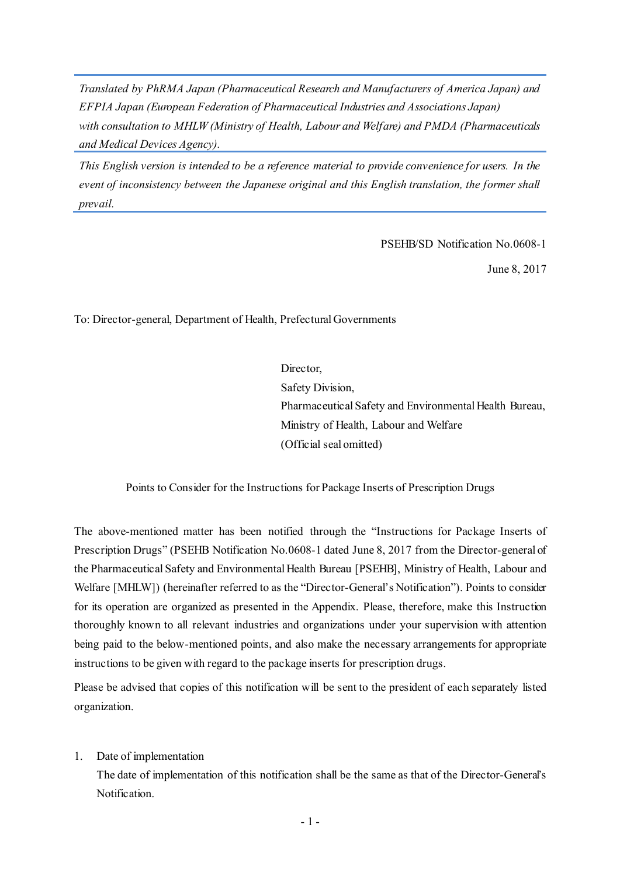*Translated by PhRMA Japan (Pharmaceutical Research and Manufacturers of America Japan) and EFPIA Japan (European Federation of Pharmaceutical Industries and Associations Japan) with consultation to MHLW (Ministry of Health, Labour and Welfare) and PMDA (Pharmaceuticals and Medical Devices Agency).*

*This English version is intended to be a reference material to provide convenience for users. In the event of inconsistency between the Japanese original and this English translation, the former shall prevail.*

PSEHB/SD Notification No.0608-1

June 8, 2017

To: Director-general, Department of Health, Prefectural Governments

Director, Safety Division, Pharmaceutical Safety and Environmental Health Bureau, Ministry of Health, Labour and Welfare (Official seal omitted)

Points to Consider for the Instructions for Package Inserts of Prescription Drugs

The above-mentioned matter has been notified through the "Instructions for Package Inserts of Prescription Drugs" (PSEHB Notification No.0608-1 dated June 8, 2017 from the Director-general of the Pharmaceutical Safety and Environmental Health Bureau [PSEHB], Ministry of Health, Labour and Welfare [MHLW]) (hereinafter referred to as the "Director-General's Notification"). Points to consider for its operation are organized as presented in the Appendix. Please, therefore, make this Instruction thoroughly known to all relevant industries and organizations under your supervision with attention being paid to the below-mentioned points, and also make the necessary arrangements for appropriate instructions to be given with regard to the package inserts for prescription drugs.

Please be advised that copies of this notification will be sent to the president of each separately listed organization.

## 1. Date of implementation

The date of implementation of this notification shall be the same as that of the Director-General's Notification.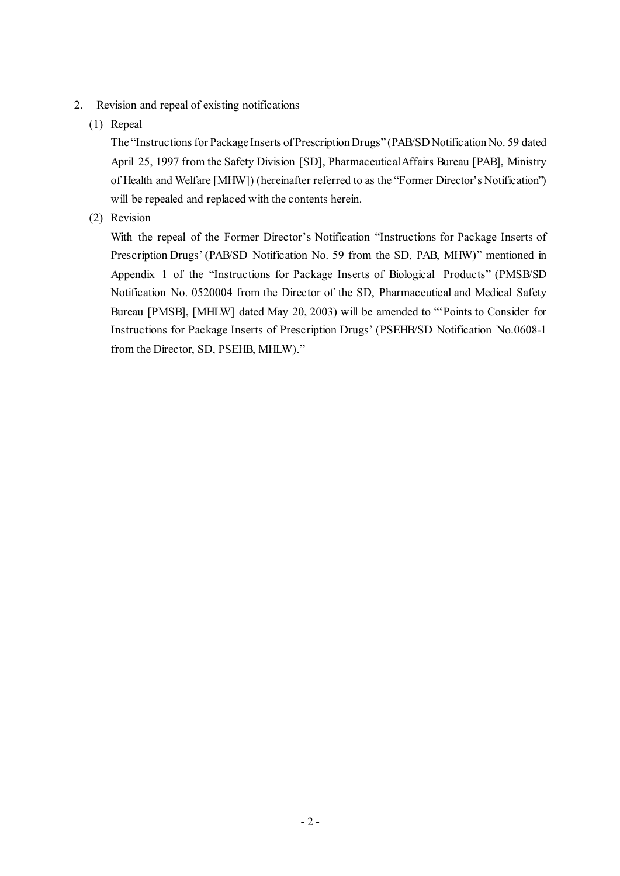- 2. Revision and repeal of existing notifications
	- (1) Repeal

The "Instructions for Package Inserts of Prescription Drugs" (PAB/SD Notification No. 59 dated April 25, 1997 from the Safety Division [SD], Pharmaceutical Affairs Bureau [PAB], Ministry of Health and Welfare [MHW]) (hereinafter referred to as the "Former Director's Notification") will be repealed and replaced with the contents herein.

(2) Revision

With the repeal of the Former Director's Notification "Instructions for Package Inserts of Prescription Drugs' (PAB/SD Notification No. 59 from the SD, PAB, MHW)" mentioned in Appendix 1 of the "Instructions for Package Inserts of Biological Products" (PMSB/SD Notification No. 0520004 from the Director of the SD, Pharmaceutical and Medical Safety Bureau [PMSB], [MHLW] dated May 20, 2003) will be amended to "'Points to Consider for Instructions for Package Inserts of Prescription Drugs' (PSEHB/SD Notification No.0608-1 from the Director, SD, PSEHB, MHLW)."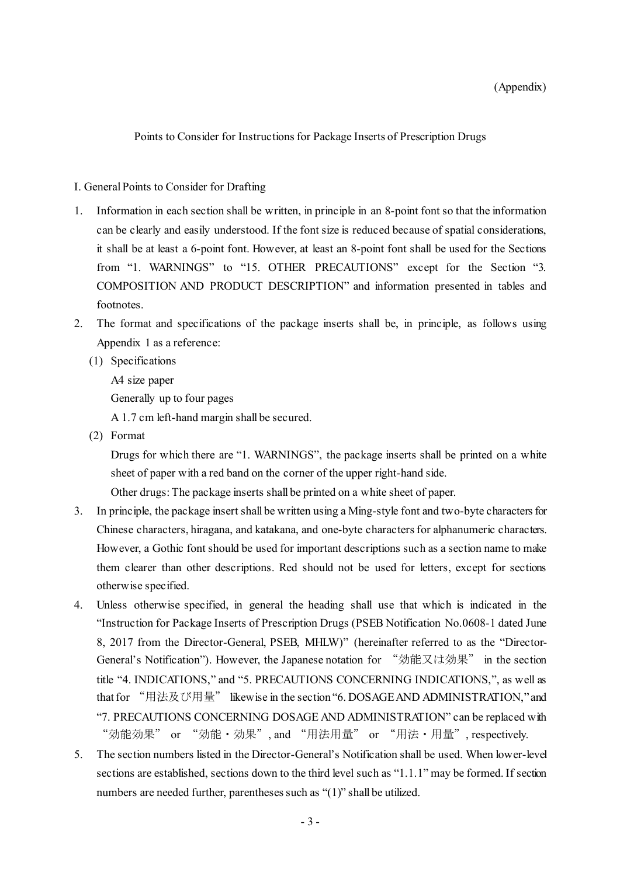Points to Consider for Instructions for Package Inserts of Prescription Drugs

## I. General Points to Consider for Drafting

- 1. Information in each section shall be written, in principle in an 8-point font so that the information can be clearly and easily understood. If the font size is reduced because of spatial considerations, it shall be at least a 6-point font. However, at least an 8-point font shall be used for the Sections from "1. WARNINGS" to "15. OTHER PRECAUTIONS" except for the Section "3. COMPOSITION AND PRODUCT DESCRIPTION" and information presented in tables and footnotes.
- 2. The format and specifications of the package inserts shall be, in principle, as follows using Appendix 1 as a reference:
	- (1) Specifications

A4 size paper

Generally up to four pages

A 1.7 cm left-hand margin shall be secured.

(2) Format

Drugs for which there are "1. WARNINGS", the package inserts shall be printed on a white sheet of paper with a red band on the corner of the upper right-hand side.

Other drugs: The package inserts shall be printed on a white sheet of paper.

- 3. In principle, the package insert shall be written using a Ming-style font and two-byte characters for Chinese characters, hiragana, and katakana, and one-byte characters for alphanumeric characters. However, a Gothic font should be used for important descriptions such as a section name to make them clearer than other descriptions. Red should not be used for letters, except for sections otherwise specified.
- 4. Unless otherwise specified, in general the heading shall use that which is indicated in the "Instruction for Package Inserts of Prescription Drugs (PSEB Notification No.0608-1 dated June 8, 2017 from the Director-General, PSEB, MHLW)" (hereinafter referred to as the "Director-General's Notification"). However, the Japanese notation for "効能又は効果" in the section title "4. INDICATIONS," and "5. PRECAUTIONS CONCERNING INDICATIONS,", as well as that for "用法及び用量" likewise in the section "6. DOSAGE AND ADMINISTRATION," and "7. PRECAUTIONS CONCERNING DOSAGE AND ADMINISTRATION" can be replaced with "効能効果" or "効能・効果", and "用法用量" or "用法・用量", respectively.
- 5. The section numbers listed in the Director-General's Notification shall be used. When lower-level sections are established, sections down to the third level such as "1.1.1" may be formed. If section numbers are needed further, parentheses such as "(1)" shall be utilized.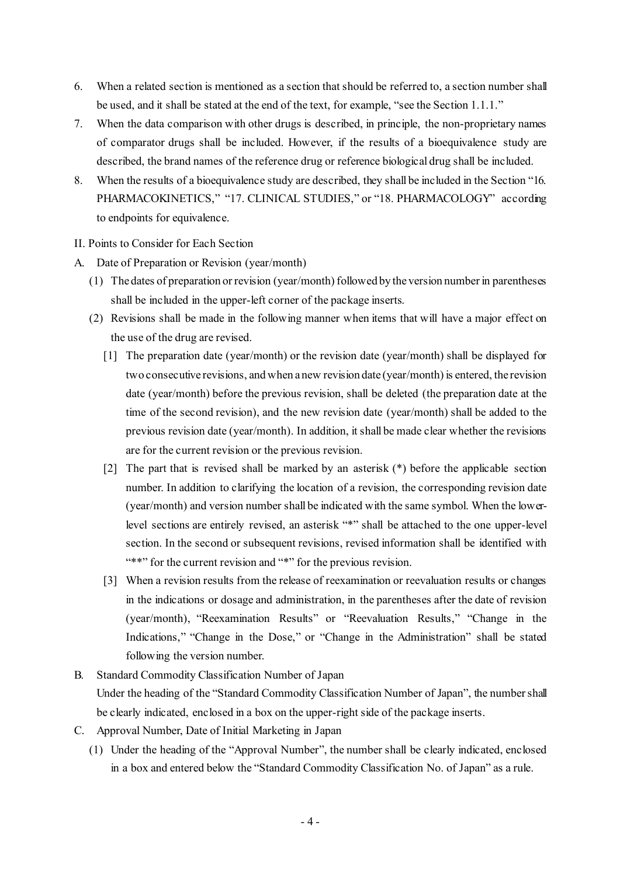- 6. When a related section is mentioned as a section that should be referred to, a section number shall be used, and it shall be stated at the end of the text, for example, "see the Section 1.1.1."
- 7. When the data comparison with other drugs is described, in principle, the non-proprietary names of comparator drugs shall be included. However, if the results of a bioequivalence study are described, the brand names of the reference drug or reference biological drug shall be included.
- 8. When the results of a bioequivalence study are described, they shall be included in the Section "16. PHARMACOKINETICS," "17. CLINICAL STUDIES," or "18. PHARMACOLOGY" according to endpoints for equivalence.
- II. Points to Consider for Each Section
- A. Date of Preparation or Revision (year/month)
	- (1) The dates of preparation or revision (year/month) followed by the version number in parentheses shall be included in the upper-left corner of the package inserts.
	- (2) Revisions shall be made in the following manner when items that will have a major effect on the use of the drug are revised.
		- [1] The preparation date (year/month) or the revision date (year/month) shall be displayed for two consecutive revisions, and when a new revision date (year/month) is entered, the revision date (year/month) before the previous revision, shall be deleted (the preparation date at the time of the second revision), and the new revision date (year/month) shall be added to the previous revision date (year/month). In addition, it shall be made clear whether the revisions are for the current revision or the previous revision.
		- [2] The part that is revised shall be marked by an asterisk (\*) before the applicable section number. In addition to clarifying the location of a revision, the corresponding revision date (year/month) and version number shall be indicated with the same symbol. When the lowerlevel sections are entirely revised, an asterisk "\*" shall be attached to the one upper-level section. In the second or subsequent revisions, revised information shall be identified with "\*\*" for the current revision and "\*" for the previous revision.
		- [3] When a revision results from the release of reexamination or reevaluation results or changes in the indications or dosage and administration, in the parentheses after the date of revision (year/month), "Reexamination Results" or "Reevaluation Results," "Change in the Indications," "Change in the Dose," or "Change in the Administration" shall be stated following the version number.
- B. Standard Commodity Classification Number of Japan Under the heading of the "Standard Commodity Classification Number of Japan", the numbershall be clearly indicated, enclosed in a box on the upper-right side of the package inserts.
- C. Approval Number, Date of Initial Marketing in Japan
	- (1) Under the heading of the "Approval Number", the number shall be clearly indicated, enclosed in a box and entered below the "Standard Commodity Classification No. of Japan" as a rule.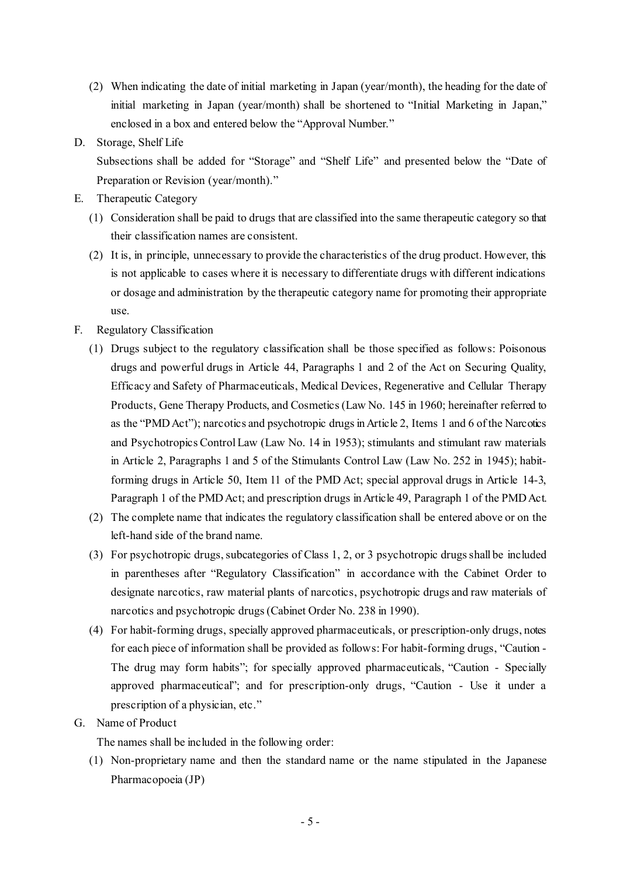- (2) When indicating the date of initial marketing in Japan (year/month), the heading for the date of initial marketing in Japan (year/month) shall be shortened to "Initial Marketing in Japan," enclosed in a box and entered below the "Approval Number."
- D. Storage, Shelf Life

Subsections shall be added for "Storage" and "Shelf Life" and presented below the "Date of Preparation or Revision (year/month)."

- E. Therapeutic Category
	- (1) Consideration shall be paid to drugs that are classified into the same therapeutic category so that their classification names are consistent.
	- (2) It is, in principle, unnecessary to provide the characteristics of the drug product. However, this is not applicable to cases where it is necessary to differentiate drugs with different indications or dosage and administration by the therapeutic category name for promoting their appropriate use.
- F. Regulatory Classification
	- (1) Drugs subject to the regulatory classification shall be those specified as follows: Poisonous drugs and powerful drugs in Article 44, Paragraphs 1 and 2 of the Act on Securing Quality, Efficacy and Safety of Pharmaceuticals, Medical Devices, Regenerative and Cellular Therapy Products, Gene Therapy Products, and Cosmetics (Law No. 145 in 1960; hereinafter referred to as the "PMD Act"); narcotics and psychotropic drugs in Article 2, Items 1 and 6 of the Narcotics and Psychotropics Control Law (Law No. 14 in 1953); stimulants and stimulant raw materials in Article 2, Paragraphs 1 and 5 of the Stimulants Control Law (Law No. 252 in 1945); habitforming drugs in Article 50, Item 11 of the PMD Act; special approval drugs in Article 14-3, Paragraph 1 of the PMD Act; and prescription drugs in Article 49, Paragraph 1 of the PMD Act.
	- (2) The complete name that indicates the regulatory classification shall be entered above or on the left-hand side of the brand name.
	- (3) For psychotropic drugs, subcategories of Class 1, 2, or 3 psychotropic drugs shall be included in parentheses after "Regulatory Classification" in accordance with the Cabinet Order to designate narcotics, raw material plants of narcotics, psychotropic drugs and raw materials of narcotics and psychotropic drugs (Cabinet Order No. 238 in 1990).
	- (4) For habit-forming drugs, specially approved pharmaceuticals, or prescription-only drugs, notes for each piece of information shall be provided as follows: For habit-forming drugs, "Caution - The drug may form habits"; for specially approved pharmaceuticals, "Caution - Specially approved pharmaceutical"; and for prescription-only drugs, "Caution - Use it under a prescription of a physician, etc."
- G. Name of Product

The names shall be included in the following order:

(1) Non-proprietary name and then the standard name or the name stipulated in the Japanese Pharmacopoeia (JP)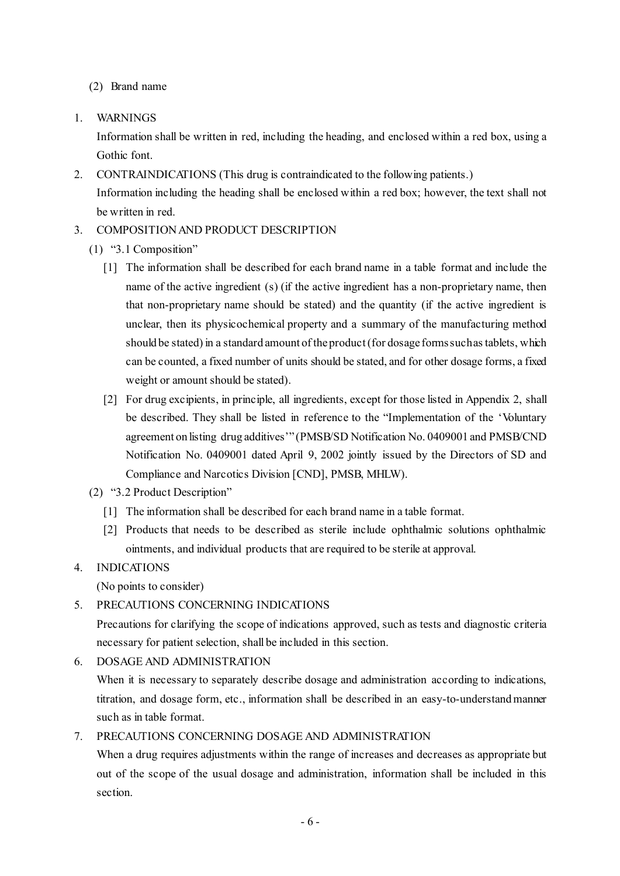(2) Brand name

1. WARNINGS

Information shall be written in red, including the heading, and enclosed within a red box, using a Gothic font.

- 2. CONTRAINDICATIONS (This drug is contraindicated to the following patients.) Information including the heading shall be enclosed within a red box; however, the text shall not be written in red.
- 3. COMPOSITION AND PRODUCT DESCRIPTION
	- (1) "3.1 Composition"
		- [1] The information shall be described for each brand name in a table format and include the name of the active ingredient (s) (if the active ingredient has a non-proprietary name, then that non-proprietary name should be stated) and the quantity (if the active ingredient is unclear, then its physicochemical property and a summary of the manufacturing method should be stated) in a standard amount of the product (for dosage forms such as tablets, which can be counted, a fixed number of units should be stated, and for other dosage forms, a fixed weight or amount should be stated).
		- [2] For drug excipients, in principle, all ingredients, except for those listed in Appendix 2, shall be described. They shall be listed in reference to the "Implementation of the 'Voluntary agreement on listing drug additives'" (PMSB/SD Notification No. 0409001 and PMSB/CND Notification No. 0409001 dated April 9, 2002 jointly issued by the Directors of SD and Compliance and Narcotics Division [CND], PMSB, MHLW).
	- (2) "3.2 Product Description"
		- [1] The information shall be described for each brand name in a table format.
		- [2] Products that needs to be described as sterile include ophthalmic solutions ophthalmic ointments, and individual products that are required to be sterile at approval.

# 4. INDICATIONS

(No points to consider)

5. PRECAUTIONS CONCERNING INDICATIONS

Precautions for clarifying the scope of indications approved, such as tests and diagnostic criteria necessary for patient selection, shall be included in this section.

6. DOSAGE AND ADMINISTRATION

When it is necessary to separately describe dosage and administration according to indications, titration, and dosage form, etc., information shall be described in an easy-to-understand manner such as in table format.

7. PRECAUTIONS CONCERNING DOSAGE AND ADMINISTRATION

When a drug requires adjustments within the range of increases and decreases as appropriate but out of the scope of the usual dosage and administration, information shall be included in this section.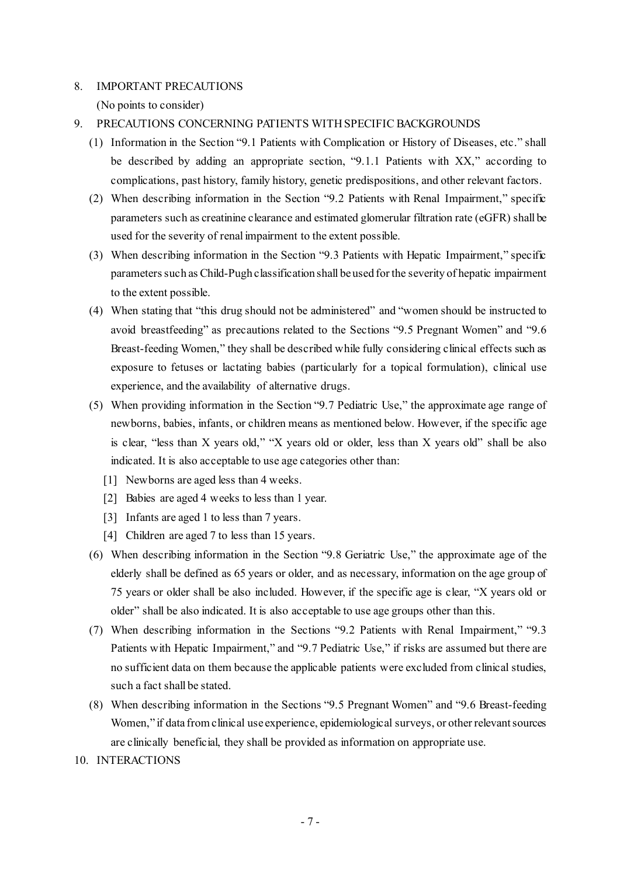## 8. IMPORTANT PRECAUTIONS

(No points to consider)

- 9. PRECAUTIONS CONCERNING PATIENTS WITH SPECIFIC BACKGROUNDS
	- (1) Information in the Section "9.1 Patients with Complication or History of Diseases, etc." shall be described by adding an appropriate section, "9.1.1 Patients with XX," according to complications, past history, family history, genetic predispositions, and other relevant factors.
	- (2) When describing information in the Section "9.2 Patients with Renal Impairment," specific parameters such as creatinine clearance and estimated glomerular filtration rate (eGFR) shall be used for the severity of renal impairment to the extent possible.
	- (3) When describing information in the Section "9.3 Patients with Hepatic Impairment," specific parameters such as Child-Pugh classification shall be used for the severity of hepatic impairment to the extent possible.
	- (4) When stating that "this drug should not be administered" and "women should be instructed to avoid breastfeeding" as precautions related to the Sections "9.5 Pregnant Women" and "9.6 Breast-feeding Women," they shall be described while fully considering clinical effects such as exposure to fetuses or lactating babies (particularly for a topical formulation), clinical use experience, and the availability of alternative drugs.
	- (5) When providing information in the Section "9.7 Pediatric Use," the approximate age range of newborns, babies, infants, or children means as mentioned below. However, if the specific age is clear, "less than X years old," "X years old or older, less than X years old" shall be also indicated. It is also acceptable to use age categories other than:
		- [1] Newborns are aged less than 4 weeks.
		- [2] Babies are aged 4 weeks to less than 1 year.
		- [3] Infants are aged 1 to less than 7 years.
		- [4] Children are aged 7 to less than 15 years.
	- (6) When describing information in the Section "9.8 Geriatric Use," the approximate age of the elderly shall be defined as 65 years or older, and as necessary, information on the age group of 75 years or older shall be also included. However, if the specific age is clear, "X years old or older" shall be also indicated. It is also acceptable to use age groups other than this.
	- (7) When describing information in the Sections "9.2 Patients with Renal Impairment," "9.3 Patients with Hepatic Impairment," and "9.7 Pediatric Use," if risks are assumed but there are no sufficient data on them because the applicable patients were excluded from clinical studies, such a fact shall be stated.
	- (8) When describing information in the Sections "9.5 Pregnant Women" and "9.6 Breast-feeding Women," if data from clinical use experience, epidemiological surveys, or other relevant sources are clinically beneficial, they shall be provided as information on appropriate use.
- 10. INTERACTIONS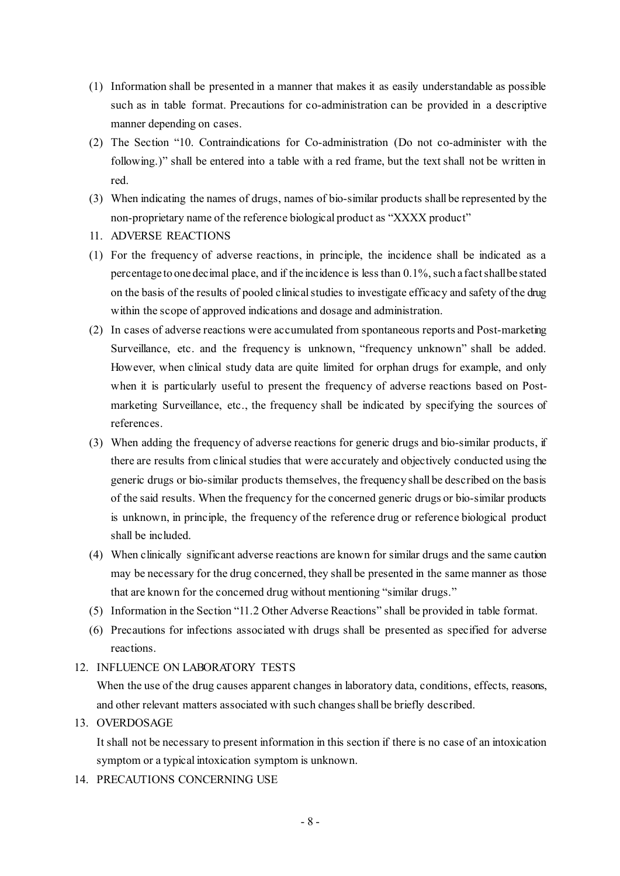- (1) Information shall be presented in a manner that makes it as easily understandable as possible such as in table format. Precautions for co-administration can be provided in a descriptive manner depending on cases.
- (2) The Section "10. Contraindications for Co-administration (Do not co-administer with the following.)" shall be entered into a table with a red frame, but the text shall not be written in red.
- (3) When indicating the names of drugs, names of bio-similar products shall be represented by the non-proprietary name of the reference biological product as "XXXX product"
- 11. ADVERSE REACTIONS
- (1) For the frequency of adverse reactions, in principle, the incidence shall be indicated as a percentage to one decimal place, and if the incidence is less than 0.1%, such a fact shall be stated on the basis of the results of pooled clinical studies to investigate efficacy and safety of the drug within the scope of approved indications and dosage and administration.
- (2) In cases of adverse reactions were accumulated from spontaneous reports and Post-marketing Surveillance, etc. and the frequency is unknown, "frequency unknown" shall be added. However, when clinical study data are quite limited for orphan drugs for example, and only when it is particularly useful to present the frequency of adverse reactions based on Postmarketing Surveillance, etc., the frequency shall be indicated by specifying the sources of references.
- (3) When adding the frequency of adverse reactions for generic drugs and bio-similar products, if there are results from clinical studies that were accurately and objectively conducted using the generic drugs or bio-similar products themselves, the frequency shall be described on the basis of the said results. When the frequency for the concerned generic drugs or bio-similar products is unknown, in principle, the frequency of the reference drug or reference biological product shall be included.
- (4) When clinically significant adverse reactions are known for similar drugs and the same caution may be necessary for the drug concerned, they shall be presented in the same manner as those that are known for the concerned drug without mentioning "similar drugs."
- (5) Information in the Section "11.2 Other Adverse Reactions" shall be provided in table format.
- (6) Precautions for infections associated with drugs shall be presented as specified for adverse reactions.

## 12. INFLUENCE ON LABORATORY TESTS

When the use of the drug causes apparent changes in laboratory data, conditions, effects, reasons, and other relevant matters associated with such changes shall be briefly described.

## 13. OVERDOSAGE

It shall not be necessary to present information in this section if there is no case of an intoxication symptom or a typical intoxication symptom is unknown.

14. PRECAUTIONS CONCERNING USE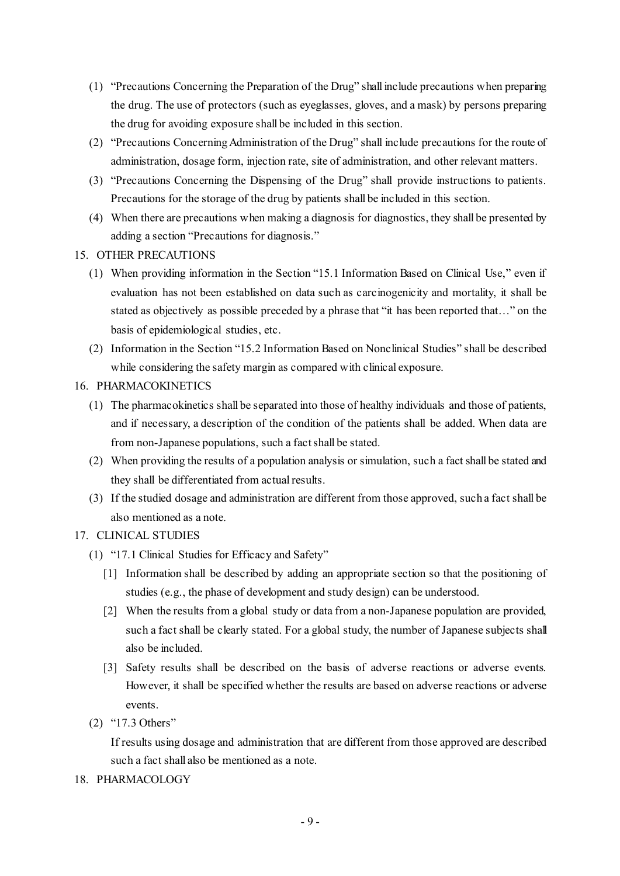- (1) "Precautions Concerning the Preparation of the Drug" shall include precautions when preparing the drug. The use of protectors (such as eyeglasses, gloves, and a mask) by persons preparing the drug for avoiding exposure shall be included in this section.
- (2) "Precautions Concerning Administration of the Drug" shall include precautions for the route of administration, dosage form, injection rate, site of administration, and other relevant matters.
- (3) "Precautions Concerning the Dispensing of the Drug" shall provide instructions to patients. Precautions for the storage of the drug by patients shall be included in this section.
- (4) When there are precautions when making a diagnosis for diagnostics, they shall be presented by adding a section "Precautions for diagnosis."
- 15. OTHER PRECAUTIONS
	- (1) When providing information in the Section "15.1 Information Based on Clinical Use," even if evaluation has not been established on data such as carcinogenicity and mortality, it shall be stated as objectively as possible preceded by a phrase that "it has been reported that…" on the basis of epidemiological studies, etc.
	- (2) Information in the Section "15.2 Information Based on Nonclinical Studies" shall be described while considering the safety margin as compared with clinical exposure.
- 16. PHARMACOKINETICS
	- (1) The pharmacokinetics shall be separated into those of healthy individuals and those of patients, and if necessary, a description of the condition of the patients shall be added. When data are from non-Japanese populations, such a fact shall be stated.
	- (2) When providing the results of a population analysis or simulation, such a fact shall be stated and they shall be differentiated from actual results.
	- (3) If the studied dosage and administration are different from those approved, such a fact shall be also mentioned as a note.

# 17. CLINICAL STUDIES

- (1) "17.1 Clinical Studies for Efficacy and Safety"
	- [1] Information shall be described by adding an appropriate section so that the positioning of studies (e.g., the phase of development and study design) can be understood.
	- [2] When the results from a global study or data from a non-Japanese population are provided, such a fact shall be clearly stated. For a global study, the number of Japanese subjects shall also be included.
	- [3] Safety results shall be described on the basis of adverse reactions or adverse events. However, it shall be specified whether the results are based on adverse reactions or adverse events.
- (2) "17.3 Others"

If results using dosage and administration that are different from those approved are described such a fact shall also be mentioned as a note.

18. PHARMACOLOGY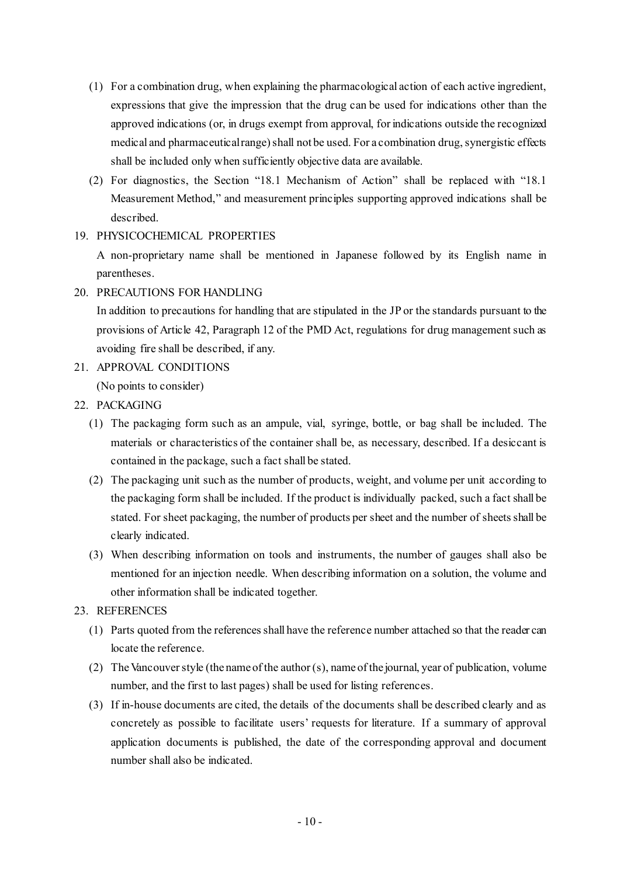- (1) For a combination drug, when explaining the pharmacological action of each active ingredient, expressions that give the impression that the drug can be used for indications other than the approved indications (or, in drugs exempt from approval, for indications outside the recognized medical and pharmaceutical range) shall not be used. For a combination drug, synergistic effects shall be included only when sufficiently objective data are available.
- (2) For diagnostics, the Section "18.1 Mechanism of Action" shall be replaced with "18.1 Measurement Method," and measurement principles supporting approved indications shall be described.

## 19. PHYSICOCHEMICAL PROPERTIES

A non-proprietary name shall be mentioned in Japanese followed by its English name in parentheses.

20. PRECAUTIONS FOR HANDLING

In addition to precautions for handling that are stipulated in the JP or the standards pursuant to the provisions of Article 42, Paragraph 12 of the PMD Act, regulations for drug management such as avoiding fire shall be described, if any.

- 21. APPROVAL CONDITIONS (No points to consider)
- 22. PACKAGING
	- (1) The packaging form such as an ampule, vial, syringe, bottle, or bag shall be included. The materials or characteristics of the container shall be, as necessary, described. If a desiccant is contained in the package, such a fact shall be stated.
	- (2) The packaging unit such as the number of products, weight, and volume per unit according to the packaging form shall be included. If the product is individually packed, such a fact shall be stated. For sheet packaging, the number of products per sheet and the number of sheets shall be clearly indicated.
	- (3) When describing information on tools and instruments, the number of gauges shall also be mentioned for an injection needle. When describing information on a solution, the volume and other information shall be indicated together.

# 23. REFERENCES

- (1) Parts quoted from the references shall have the reference number attached so that the reader can locate the reference.
- (2) The Vancouver style (the name of the author (s), name of the journal, year of publication, volume number, and the first to last pages) shall be used for listing references.
- (3) If in-house documents are cited, the details of the documents shall be described clearly and as concretely as possible to facilitate users' requests for literature. If a summary of approval application documents is published, the date of the corresponding approval and document number shall also be indicated.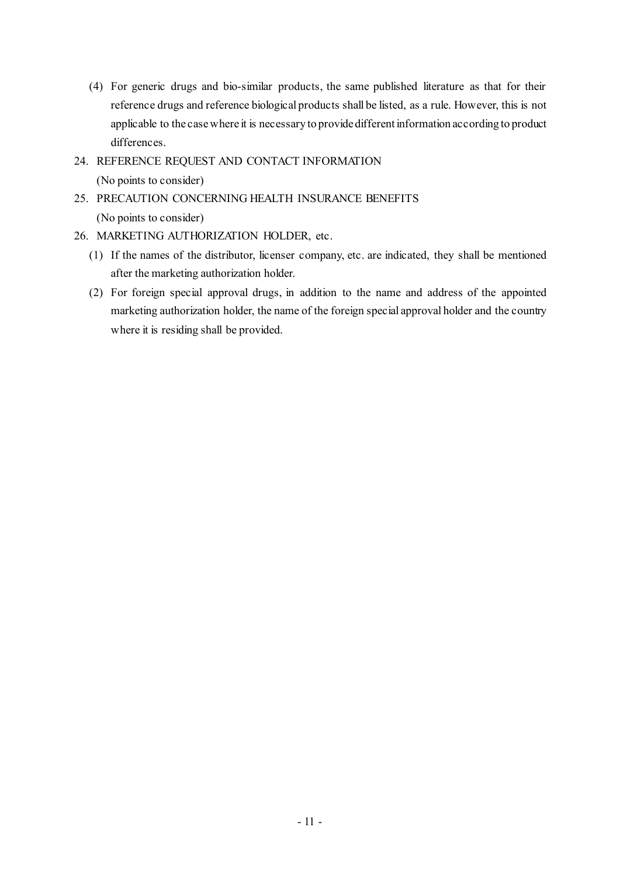- (4) For generic drugs and bio-similar products, the same published literature as that for their reference drugs and reference biological products shall be listed, as a rule. However, this is not applicable to the case where it is necessary to provide different information according to product differences.
- 24. REFERENCE REQUEST AND CONTACT INFORMATION (No points to consider)
- 25. PRECAUTION CONCERNING HEALTH INSURANCE BENEFITS (No points to consider)
- 26. MARKETING AUTHORIZATION HOLDER, etc.
	- (1) If the names of the distributor, licenser company, etc. are indicated, they shall be mentioned after the marketing authorization holder.
	- (2) For foreign special approval drugs, in addition to the name and address of the appointed marketing authorization holder, the name of the foreign special approval holder and the country where it is residing shall be provided.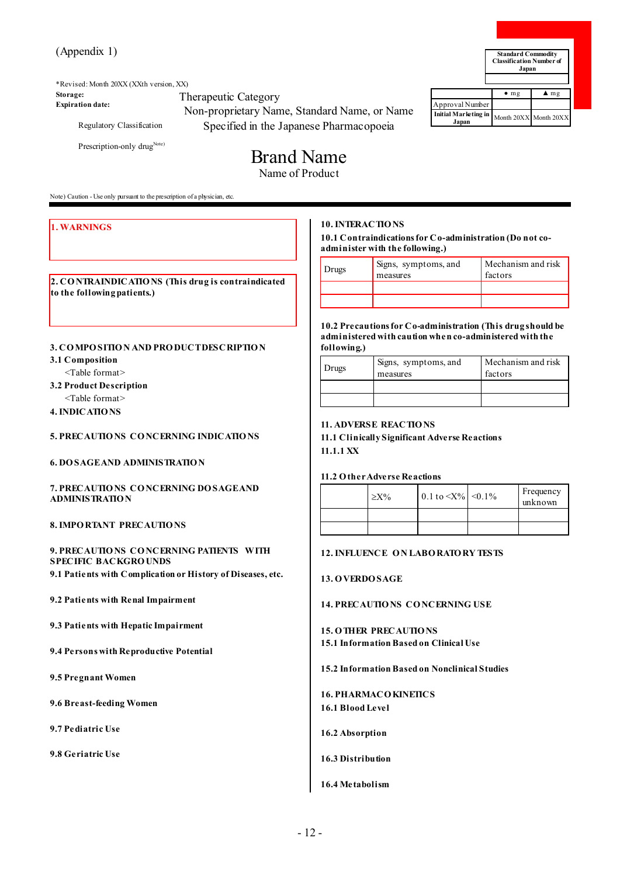\*Revised: Month 20XX (XXth version, XX) **Storage: Expiration date:** Therapeutic Category Non-proprietary Name, Standard Name, or Name

Regulatory Classification

Prescription-only drug<sup>Note)</sup>

# Specified in the Japanese Pharmacopoeia Brand Name

Name of Product

Note) Caution - Use only pursuant to the prescription of a physician, etc.

#### **1. WARNINGS**

**2. CO NTRAINDICATIO NS (This drug is contraindicated to the following patients.)** 

#### **3. CO MPO SITIO N AND PRO DUCT DESCRIPTIO N**

- **3.1 Composition**
	- <Table format>
- **3.2 Product Description**
- <Table format>
- **4. INDICATIO NS**

#### **5. PRECAUTIO NS CO NCERNING INDICATIO NS**

**6. DO SAGE AND ADMINISTRATIO N**

#### **7. PRECAUTIO NS CO NCERNING DO SAGE AND ADMINISTRATIO N**

**8. IMPO RTANT PRECAUTIO NS**

## **9. PRECAUTIO NS CO NCERNING PATIENTS WITH SPECIFIC BACKGRO UNDS**

**9.1 Patients with Complication or History of Diseases, etc.**

**9.2 Patients with Renal Impairment**

**9.3 Patients with Hepatic Impairment**

**9.4 Persons with Reproductive Potential**

**9.5 Pregnant Women**

**9.6 Breast-feeding Women**

**9.7 Pediatric Use**

**9.8 Geriatric Use**

## **10. INTERACTIO NS**

**10.1 Contraindications for Co-administration (Do not coadminister with the following.)** 

| Drugs | Signs, symptoms, and<br>measures | Mechanism and risk<br>factors |
|-------|----------------------------------|-------------------------------|
|       |                                  |                               |
|       |                                  |                               |

**10.2 Precautions for Co-administration (This drug should be administered with caution when co-administered with the following.)** 

| Drugs | Signs, symptoms, and<br>measures | Mechanism and risk<br>factors |  |
|-------|----------------------------------|-------------------------------|--|
|       |                                  |                               |  |
|       |                                  |                               |  |

#### **11. ADVERSE REACTIO NS**

**11.1 Clinically Significant Adverse Reactions 11.1.1 XX**

## **11.2 O ther Adverse Reactions**

| $> X\%$ | 0.1 to $\langle X\% \rangle \langle 0.1\% \rangle$ | Frequency<br>unknown |
|---------|----------------------------------------------------|----------------------|
|         |                                                    |                      |
|         |                                                    |                      |

## **12. INFLUENCE O N LABO RATO RY TESTS**

#### **13. O VERDO SAGE**

#### **14. PRECAUTIO NS CO NCERNING USE**

**15. O THER PRECAUTIO NS 15.1 Information Based on Clinical Use**

**15.2 Information Based on Nonclinical Studies**

**16. PHARMACO KINETICS 16.1 Blood Level**

## **16.2 Absorption**

### **16.3 Distribution**

### **16.4 Metabolism**

**Standard Commodity Classification Number of** 

|                                                     | $\bullet$ mg | $\blacktriangle$ mg |
|-----------------------------------------------------|--------------|---------------------|
| Approval Number                                     |              |                     |
| Initial Marketing in Month 20XX Month 20XX<br>Japan |              |                     |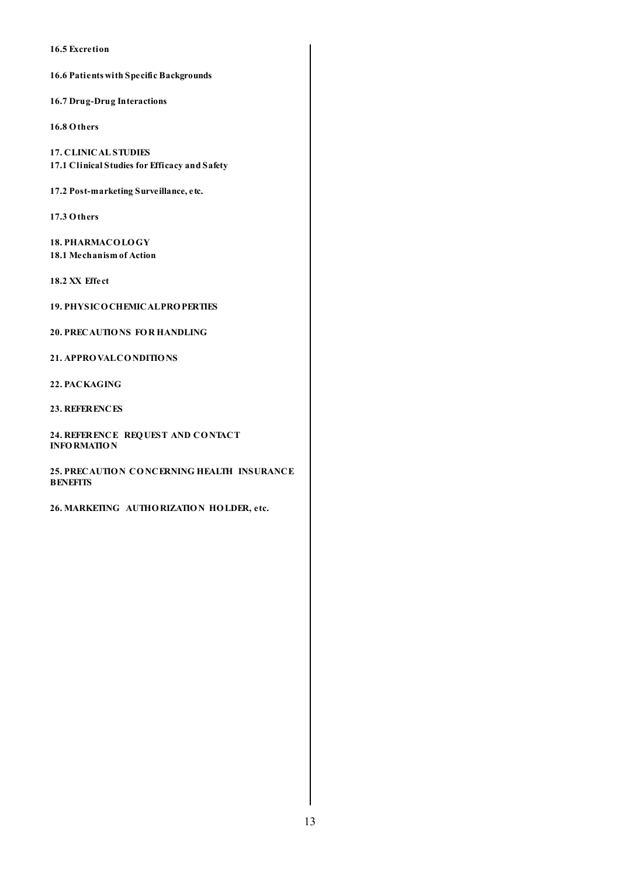**16.5 Excretion**

**16.6 Patients with Specific Backgrounds**

**16.7 Drug-Drug Interactions**

**16.8 Others**

**17. CLINICAL STUDIES 17.1 Clinical Studies for Efficacy and Safety**

**17.2 Post-marketing Surveillance, etc.**

**17.3 Others**

**18. PHARMACO LO GY 18.1 Mechanism of Action**

**18.2 XX Effect**

**19. PHYSICO CHEMICAL PRO PERTIES**

**20. PRECAUTIO NS FO R HANDLING**

**21. APPRO VALCO NDITIO NS**

**22. PACKAGING**

**23. REFERENCES**

**24. REFERENCE REQ UEST AND CO NTACT INFO RMATIO N**

**25. PRECAUTIO N CO NCERNING HEALTH INSURANCE BENEFITS**

**26. MARKETING AUTHO RIZATIO N HO LDER, etc.**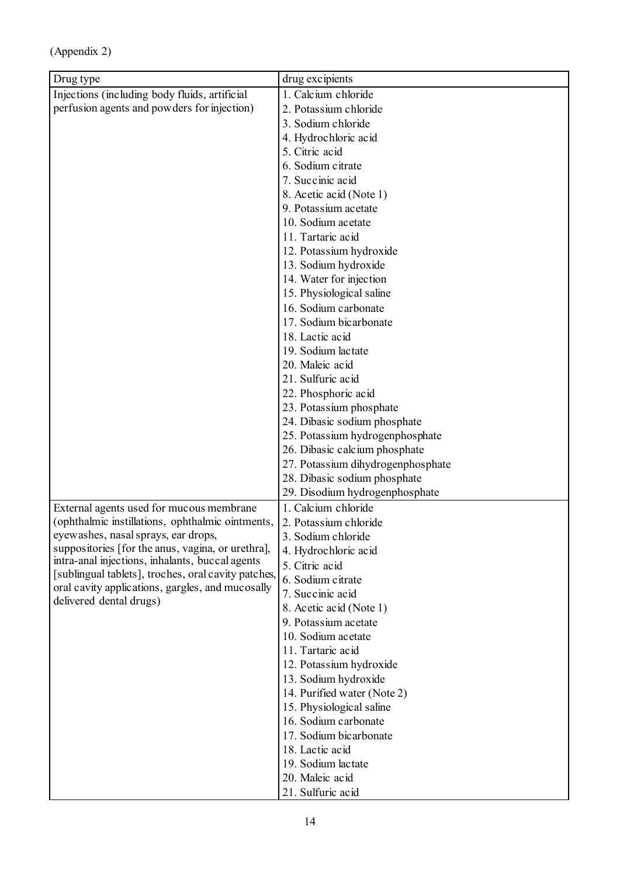| Drug type                                                                                            | drug excipients                                     |  |
|------------------------------------------------------------------------------------------------------|-----------------------------------------------------|--|
| Injections (including body fluids, artificial                                                        | 1. Calcium chloride                                 |  |
| perfusion agents and powders for injection)                                                          | 2. Potassium chloride                               |  |
|                                                                                                      | 3. Sodium chloride                                  |  |
|                                                                                                      | 4. Hydrochloric acid                                |  |
|                                                                                                      | 5. Citric acid                                      |  |
|                                                                                                      | 6. Sodium citrate                                   |  |
|                                                                                                      | 7. Succinic acid                                    |  |
|                                                                                                      | 8. Acetic acid (Note 1)                             |  |
|                                                                                                      | 9. Potassium acetate                                |  |
|                                                                                                      | 10. Sodium acetate                                  |  |
|                                                                                                      | 11. Tartaric acid                                   |  |
|                                                                                                      | 12. Potassium hydroxide                             |  |
|                                                                                                      | 13. Sodium hydroxide                                |  |
|                                                                                                      | 14. Water for injection                             |  |
|                                                                                                      | 15. Physiological saline                            |  |
|                                                                                                      | 16. Sodium carbonate                                |  |
|                                                                                                      | 17. Sodium bicarbonate                              |  |
|                                                                                                      | 18. Lactic acid                                     |  |
|                                                                                                      | 19. Sodium lactate                                  |  |
|                                                                                                      | 20. Maleic acid                                     |  |
|                                                                                                      | 21. Sulfuric acid                                   |  |
|                                                                                                      | 22. Phosphoric acid                                 |  |
|                                                                                                      | 23. Potassium phosphate                             |  |
|                                                                                                      | 24. Dibasic sodium phosphate                        |  |
|                                                                                                      | 25. Potassium hydrogenphosphate                     |  |
|                                                                                                      | 26. Dibasic calcium phosphate                       |  |
|                                                                                                      | 27. Potassium dihydrogenphosphate                   |  |
|                                                                                                      | 28. Dibasic sodium phosphate                        |  |
|                                                                                                      | 29. Disodium hydrogenphosphate                      |  |
| External agents used for mucous membrane                                                             | 1. Calcium chloride                                 |  |
| (ophthalmic instillations, ophthalmic ointments,                                                     | 2. Potassium chloride                               |  |
| eyewashes, nasal sprays, ear drops,                                                                  | 3. Sodium chloride                                  |  |
| suppositories [for the anus, vagina, or urethra],<br>intra-anal injections, inhalants, buccal agents | 4. Hydrochloric acid                                |  |
| [sublingual tablets], troches, oral cavity patches,                                                  | 5. Citric acid                                      |  |
| oral cavity applications, gargles, and mucosally<br>delivered dental drugs)                          | 6. Sodium citrate                                   |  |
|                                                                                                      | 7. Succinic acid                                    |  |
|                                                                                                      | 8. Acetic acid (Note 1)                             |  |
|                                                                                                      | 9. Potassium acetate                                |  |
|                                                                                                      | 10. Sodium acetate                                  |  |
|                                                                                                      | 11. Tartaric acid                                   |  |
|                                                                                                      | 12. Potassium hydroxide                             |  |
|                                                                                                      | 13. Sodium hydroxide<br>14. Purified water (Note 2) |  |
|                                                                                                      | 15. Physiological saline                            |  |
|                                                                                                      | 16. Sodium carbonate                                |  |
|                                                                                                      | 17. Sodium bicarbonate                              |  |
|                                                                                                      | 18. Lactic acid                                     |  |
|                                                                                                      | 19. Sodium lactate                                  |  |
|                                                                                                      | 20. Maleic acid                                     |  |
|                                                                                                      | 21. Sulfuric acid                                   |  |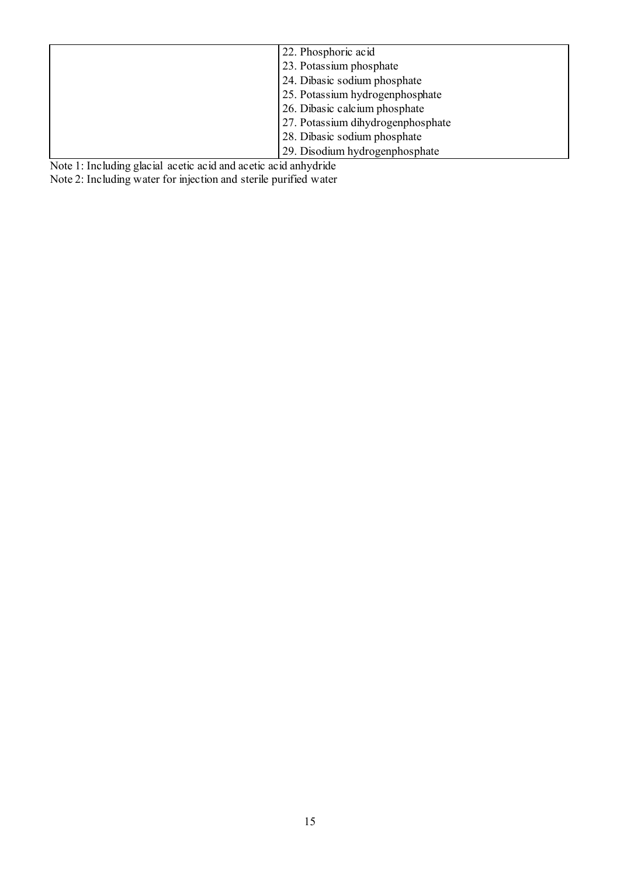| 22. Phosphoric acid               |
|-----------------------------------|
| 23. Potassium phosphate           |
| 24. Dibasic sodium phosphate      |
| 25. Potassium hydrogenphosphate   |
| 26. Dibasic calcium phosphate     |
| 27. Potassium dihydrogenphosphate |
| 28. Dibasic sodium phosphate      |
| 29. Disodium hydrogenphosphate    |

Note 1: Including glacial acetic acid and acetic acid anhydride

Note 2: Including water for injection and sterile purified water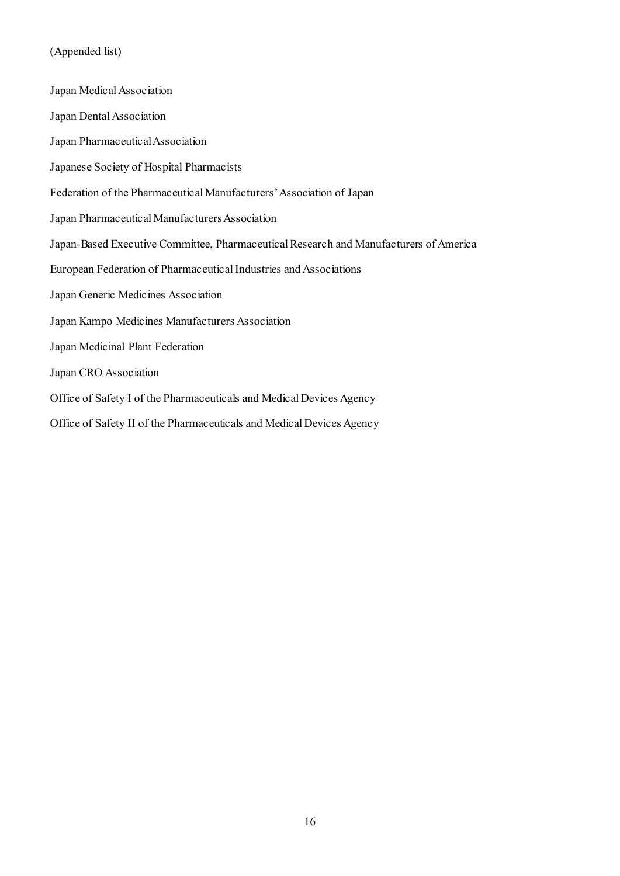# (Appended list)

| Japan Medical Association                                                             |
|---------------------------------------------------------------------------------------|
| Japan Dental Association                                                              |
| Japan Pharmaceutical Association                                                      |
| Japanese Society of Hospital Pharmacists                                              |
| Federation of the Pharmaceutical Manufacturers' Association of Japan                  |
| Japan Pharmaceutical Manufacturers Association                                        |
| Japan-Based Executive Committee, Pharmaceutical Research and Manufacturers of America |
| European Federation of Pharmaceutical Industries and Associations                     |
| Japan Generic Medicines Association                                                   |
| Japan Kampo Medicines Manufacturers Association                                       |
| Japan Medicinal Plant Federation                                                      |
| Japan CRO Association                                                                 |
| Office of Safety I of the Pharmaceuticals and Medical Devices Agency                  |
| Office of Safety II of the Pharmaceuticals and Medical Devices Agency                 |